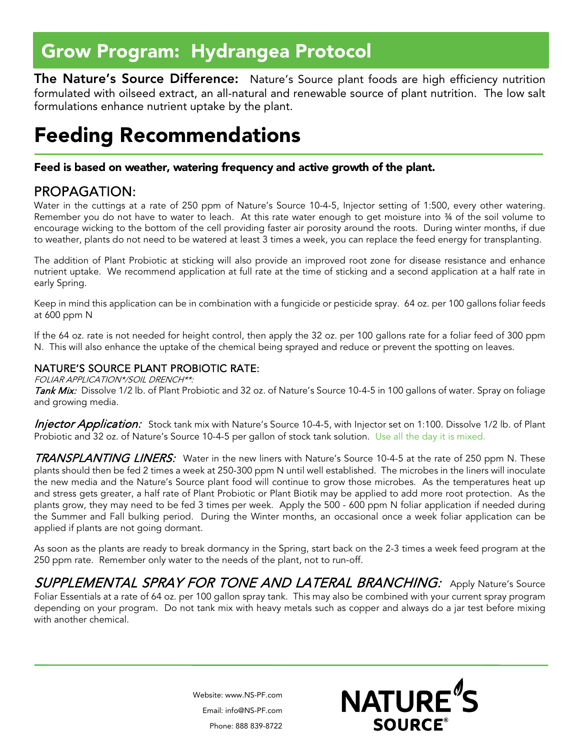# Grow Program: Hydrangea Protocol

The Nature's Source Difference: Nature's Source plant foods are high efficiency nutrition formulated with oilseed extract, an all-natural and renewable source of plant nutrition. The low salt formulations enhance nutrient uptake by the plant.

## Feeding Recommendations

### Feed is based on weather, watering frequency and active growth of the plant.

PROPAGATION:<br>Water in the cuttings at a rate of 250 ppm of Nature's Source 10-4-5, Injector setting of 1:500, every other watering. Remember you do not have to water to leach. At this rate water enough to get moisture into 34 of the soil volume to encourage wicking to the bottom of the cell providing faster air porosity around the roots. During winter months, if due to weather, plants do not need to be watered at least 3 times a week, you can replace the feed energy for transplanting.

The addition of Plant Probiotic at sticking will also provide an improved root zone for disease resistance and enhance nutrient uptake. We recommend application at full rate at the time of sticking and a second application at a half rate in early Spring.

Keep in mind this application can be in combination with a fungicide or pesticide spray. 64 oz. per 100 gallons foliar feeds at 600 ppm N

If the 64 oz. rate is not needed for height control, then apply the 32 oz. per 100 gallons rate for a foliar feed of 300 ppm N. This will also enhance the uptake of the chemical being sprayed and reduce or prevent the spotting on leaves.

### NATURE'S SOURCE PLANT PROBIOTIC RATE:

FOLIAR APPLICATION\*/SOIL DRENCH\*\*:

Tank Mix: Dissolve 1/2 lb. of Plant Probiotic and 32 oz. of Nature's Source 10-4-5 in 100 gallons of water. Spray on foliage and growing media.

Injector Application: Stock tank mix with Nature's Source 10-4-5, with Injector set on 1:100. Dissolve 1/2 lb. of Plant Probiotic and 32 oz. of Nature's Source 10-4-5 per gallon of stock tank solution. Use all the day it is mixed.

TRANSPLANTING LINERS: Water in the new liners with Nature's Source 10-4-5 at the rate of 250 ppm N. These plants should then be fed 2 times a week at 250-300 ppm N until well established. The microbes in the liners will inoculate the new media and the Nature's Source plant food will continue to grow those microbes. As the temperatures heat up and stress gets greater, a half rate of Plant Probiotic or Plant Biotik may be applied to add more root protection. As the plants grow, they may need to be fed 3 times per week. Apply the 500 - 600 ppm N foliar application if needed during the Summer and Fall bulking period. During the Winter months, an occasional once a week foliar application can be applied if plants are not going dormant.

As soon as the plants are ready to break dormancy in the Spring, start back on the 2-3 times a week feed program at the 250 ppm rate. Remember only water to the needs of the plant, not to run-off.

**SUPPLEMENTAL SPRAY FOR TONE AND LATERAL BRANCHING:** Apply Nature's Source Foliar Essentials at a rate of 64 oz. per 100 gallon spray tank. This may also be combined with your current spray program depending on your program. Do not tank mix with heavy metals such as copper and always do a jar test before mixing with another chemical.

> Website: www.NS-PF.com Email: info@NS-PF.com Phone: 888 839-8722